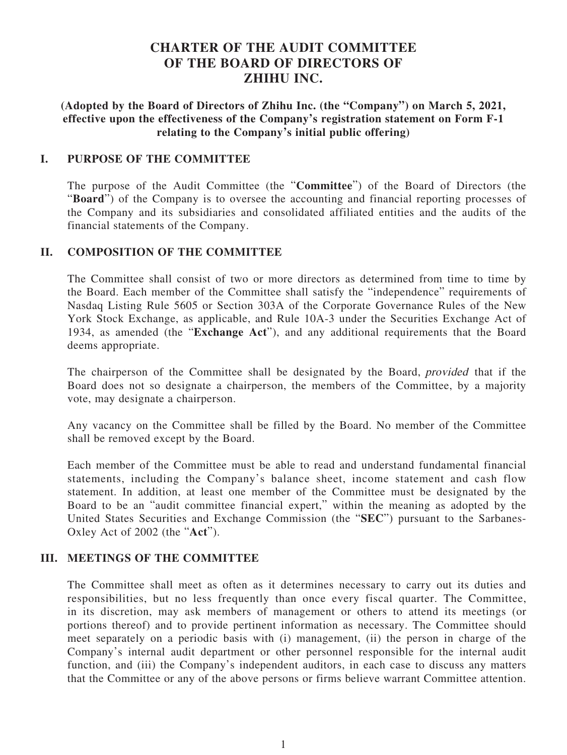# **CHARTER OF THE AUDIT COMMITTEE OF THE BOARD OF DIRECTORS OF ZHIHU INC.**

**(Adopted by the Board of Directors of Zhihu Inc. (the "Company") on March 5, 2021, effective upon the effectiveness of the Company's registration statement on Form F-1 relating to the Company's initial public offering)**

#### **I. PURPOSE OF THE COMMITTEE**

The purpose of the Audit Committee (the "**Committee**") of the Board of Directors (the "**Board**") of the Company is to oversee the accounting and financial reporting processes of the Company and its subsidiaries and consolidated affiliated entities and the audits of the financial statements of the Company.

### **II. COMPOSITION OF THE COMMITTEE**

The Committee shall consist of two or more directors as determined from time to time by the Board. Each member of the Committee shall satisfy the "independence" requirements of Nasdaq Listing Rule 5605 or Section 303A of the Corporate Governance Rules of the New York Stock Exchange, as applicable, and Rule 10A-3 under the Securities Exchange Act of 1934, as amended (the "**Exchange Act**"), and any additional requirements that the Board deems appropriate.

The chairperson of the Committee shall be designated by the Board, provided that if the Board does not so designate a chairperson, the members of the Committee, by a majority vote, may designate a chairperson.

Any vacancy on the Committee shall be filled by the Board. No member of the Committee shall be removed except by the Board.

Each member of the Committee must be able to read and understand fundamental financial statements, including the Company's balance sheet, income statement and cash flow statement. In addition, at least one member of the Committee must be designated by the Board to be an "audit committee financial expert," within the meaning as adopted by the United States Securities and Exchange Commission (the "**SEC**") pursuant to the Sarbanes-Oxley Act of 2002 (the "**Act**").

## **III. MEETINGS OF THE COMMITTEE**

The Committee shall meet as often as it determines necessary to carry out its duties and responsibilities, but no less frequently than once every fiscal quarter. The Committee, in its discretion, may ask members of management or others to attend its meetings (or portions thereof) and to provide pertinent information as necessary. The Committee should meet separately on a periodic basis with (i) management, (ii) the person in charge of the Company's internal audit department or other personnel responsible for the internal audit function, and (iii) the Company's independent auditors, in each case to discuss any matters that the Committee or any of the above persons or firms believe warrant Committee attention.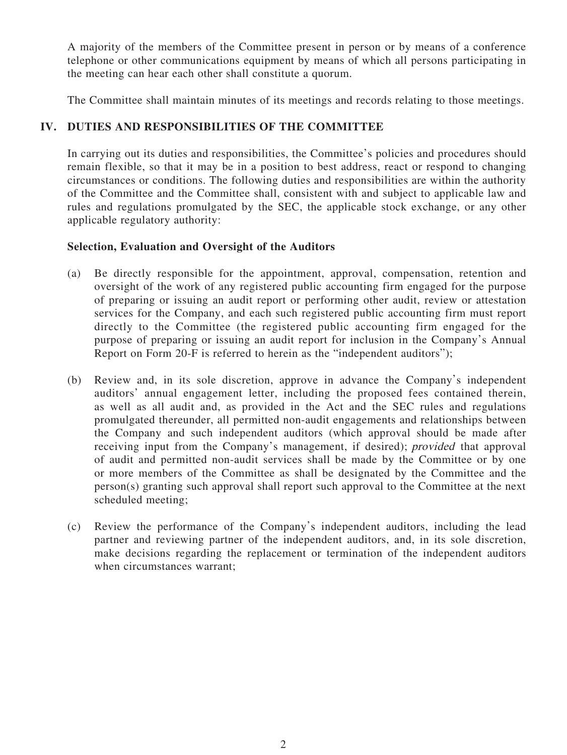A majority of the members of the Committee present in person or by means of a conference telephone or other communications equipment by means of which all persons participating in the meeting can hear each other shall constitute a quorum.

The Committee shall maintain minutes of its meetings and records relating to those meetings.

## **IV. DUTIES AND RESPONSIBILITIES OF THE COMMITTEE**

In carrying out its duties and responsibilities, the Committee's policies and procedures should remain flexible, so that it may be in a position to best address, react or respond to changing circumstances or conditions. The following duties and responsibilities are within the authority of the Committee and the Committee shall, consistent with and subject to applicable law and rules and regulations promulgated by the SEC, the applicable stock exchange, or any other applicable regulatory authority:

## **Selection, Evaluation and Oversight of the Auditors**

- (a) Be directly responsible for the appointment, approval, compensation, retention and oversight of the work of any registered public accounting firm engaged for the purpose of preparing or issuing an audit report or performing other audit, review or attestation services for the Company, and each such registered public accounting firm must report directly to the Committee (the registered public accounting firm engaged for the purpose of preparing or issuing an audit report for inclusion in the Company's Annual Report on Form 20-F is referred to herein as the "independent auditors");
- (b) Review and, in its sole discretion, approve in advance the Company's independent auditors' annual engagement letter, including the proposed fees contained therein, as well as all audit and, as provided in the Act and the SEC rules and regulations promulgated thereunder, all permitted non-audit engagements and relationships between the Company and such independent auditors (which approval should be made after receiving input from the Company's management, if desired); provided that approval of audit and permitted non-audit services shall be made by the Committee or by one or more members of the Committee as shall be designated by the Committee and the person(s) granting such approval shall report such approval to the Committee at the next scheduled meeting;
- (c) Review the performance of the Company's independent auditors, including the lead partner and reviewing partner of the independent auditors, and, in its sole discretion, make decisions regarding the replacement or termination of the independent auditors when circumstances warrant;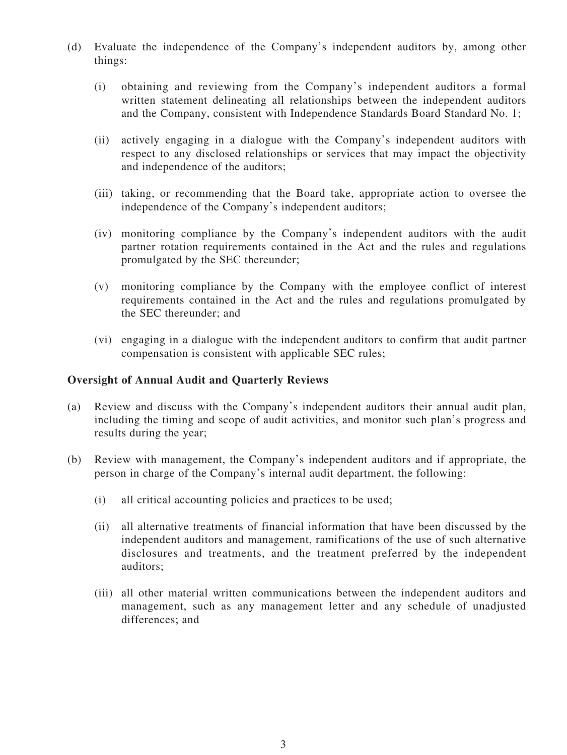- (d) Evaluate the independence of the Company's independent auditors by, among other things:
	- (i) obtaining and reviewing from the Company's independent auditors a formal written statement delineating all relationships between the independent auditors and the Company, consistent with Independence Standards Board Standard No. 1;
	- (ii) actively engaging in a dialogue with the Company's independent auditors with respect to any disclosed relationships or services that may impact the objectivity and independence of the auditors;
	- (iii) taking, or recommending that the Board take, appropriate action to oversee the independence of the Company's independent auditors;
	- (iv) monitoring compliance by the Company's independent auditors with the audit partner rotation requirements contained in the Act and the rules and regulations promulgated by the SEC thereunder;
	- (v) monitoring compliance by the Company with the employee conflict of interest requirements contained in the Act and the rules and regulations promulgated by the SEC thereunder; and
	- (vi) engaging in a dialogue with the independent auditors to confirm that audit partner compensation is consistent with applicable SEC rules;

#### **Oversight of Annual Audit and Quarterly Reviews**

- (a) Review and discuss with the Company's independent auditors their annual audit plan, including the timing and scope of audit activities, and monitor such plan's progress and results during the year;
- (b) Review with management, the Company's independent auditors and if appropriate, the person in charge of the Company's internal audit department, the following:
	- (i) all critical accounting policies and practices to be used;
	- (ii) all alternative treatments of financial information that have been discussed by the independent auditors and management, ramifications of the use of such alternative disclosures and treatments, and the treatment preferred by the independent auditors;
	- (iii) all other material written communications between the independent auditors and management, such as any management letter and any schedule of unadjusted differences; and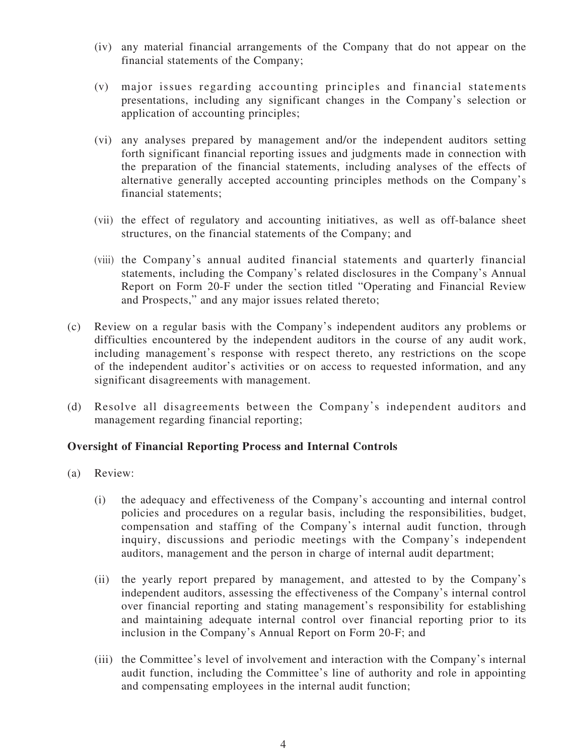- (iv) any material financial arrangements of the Company that do not appear on the financial statements of the Company;
- (v) major issues regarding accounting principles and financial statements presentations, including any significant changes in the Company's selection or application of accounting principles;
- (vi) any analyses prepared by management and/or the independent auditors setting forth significant financial reporting issues and judgments made in connection with the preparation of the financial statements, including analyses of the effects of alternative generally accepted accounting principles methods on the Company's financial statements;
- (vii) the effect of regulatory and accounting initiatives, as well as off-balance sheet structures, on the financial statements of the Company; and
- (viii) the Company's annual audited financial statements and quarterly financial statements, including the Company's related disclosures in the Company's Annual Report on Form 20-F under the section titled "Operating and Financial Review and Prospects," and any major issues related thereto;
- (c) Review on a regular basis with the Company's independent auditors any problems or difficulties encountered by the independent auditors in the course of any audit work, including management's response with respect thereto, any restrictions on the scope of the independent auditor's activities or on access to requested information, and any significant disagreements with management.
- (d) Resolve all disagreements between the Company's independent auditors and management regarding financial reporting;

#### **Oversight of Financial Reporting Process and Internal Controls**

- (a) Review:
	- (i) the adequacy and effectiveness of the Company's accounting and internal control policies and procedures on a regular basis, including the responsibilities, budget, compensation and staffing of the Company's internal audit function, through inquiry, discussions and periodic meetings with the Company's independent auditors, management and the person in charge of internal audit department;
	- (ii) the yearly report prepared by management, and attested to by the Company's independent auditors, assessing the effectiveness of the Company's internal control over financial reporting and stating management's responsibility for establishing and maintaining adequate internal control over financial reporting prior to its inclusion in the Company's Annual Report on Form 20-F; and
	- (iii) the Committee's level of involvement and interaction with the Company's internal audit function, including the Committee's line of authority and role in appointing and compensating employees in the internal audit function;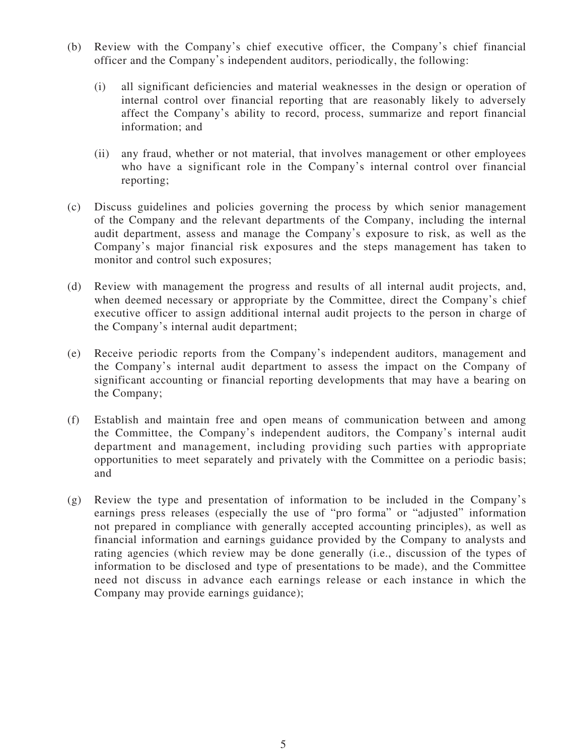- (b) Review with the Company's chief executive officer, the Company's chief financial officer and the Company's independent auditors, periodically, the following:
	- (i) all significant deficiencies and material weaknesses in the design or operation of internal control over financial reporting that are reasonably likely to adversely affect the Company's ability to record, process, summarize and report financial information; and
	- (ii) any fraud, whether or not material, that involves management or other employees who have a significant role in the Company's internal control over financial reporting;
- (c) Discuss guidelines and policies governing the process by which senior management of the Company and the relevant departments of the Company, including the internal audit department, assess and manage the Company's exposure to risk, as well as the Company's major financial risk exposures and the steps management has taken to monitor and control such exposures;
- (d) Review with management the progress and results of all internal audit projects, and, when deemed necessary or appropriate by the Committee, direct the Company's chief executive officer to assign additional internal audit projects to the person in charge of the Company's internal audit department;
- (e) Receive periodic reports from the Company's independent auditors, management and the Company's internal audit department to assess the impact on the Company of significant accounting or financial reporting developments that may have a bearing on the Company;
- (f) Establish and maintain free and open means of communication between and among the Committee, the Company's independent auditors, the Company's internal audit department and management, including providing such parties with appropriate opportunities to meet separately and privately with the Committee on a periodic basis; and
- (g) Review the type and presentation of information to be included in the Company's earnings press releases (especially the use of "pro forma" or "adjusted" information not prepared in compliance with generally accepted accounting principles), as well as financial information and earnings guidance provided by the Company to analysts and rating agencies (which review may be done generally (i.e., discussion of the types of information to be disclosed and type of presentations to be made), and the Committee need not discuss in advance each earnings release or each instance in which the Company may provide earnings guidance);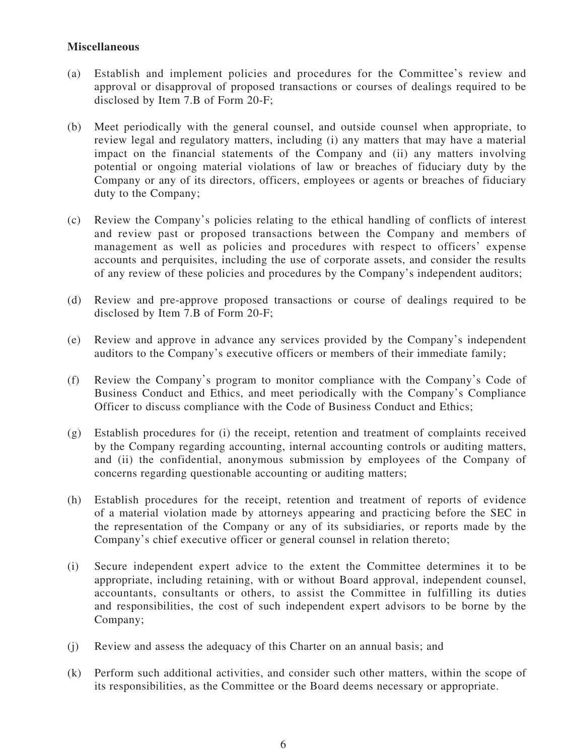## **Miscellaneous**

- (a) Establish and implement policies and procedures for the Committee's review and approval or disapproval of proposed transactions or courses of dealings required to be disclosed by Item 7.B of Form 20-F;
- (b) Meet periodically with the general counsel, and outside counsel when appropriate, to review legal and regulatory matters, including (i) any matters that may have a material impact on the financial statements of the Company and (ii) any matters involving potential or ongoing material violations of law or breaches of fiduciary duty by the Company or any of its directors, officers, employees or agents or breaches of fiduciary duty to the Company;
- (c) Review the Company's policies relating to the ethical handling of conflicts of interest and review past or proposed transactions between the Company and members of management as well as policies and procedures with respect to officers' expense accounts and perquisites, including the use of corporate assets, and consider the results of any review of these policies and procedures by the Company's independent auditors;
- (d) Review and pre-approve proposed transactions or course of dealings required to be disclosed by Item 7.B of Form 20-F;
- (e) Review and approve in advance any services provided by the Company's independent auditors to the Company's executive officers or members of their immediate family;
- (f) Review the Company's program to monitor compliance with the Company's Code of Business Conduct and Ethics, and meet periodically with the Company's Compliance Officer to discuss compliance with the Code of Business Conduct and Ethics;
- (g) Establish procedures for (i) the receipt, retention and treatment of complaints received by the Company regarding accounting, internal accounting controls or auditing matters, and (ii) the confidential, anonymous submission by employees of the Company of concerns regarding questionable accounting or auditing matters;
- (h) Establish procedures for the receipt, retention and treatment of reports of evidence of a material violation made by attorneys appearing and practicing before the SEC in the representation of the Company or any of its subsidiaries, or reports made by the Company's chief executive officer or general counsel in relation thereto;
- (i) Secure independent expert advice to the extent the Committee determines it to be appropriate, including retaining, with or without Board approval, independent counsel, accountants, consultants or others, to assist the Committee in fulfilling its duties and responsibilities, the cost of such independent expert advisors to be borne by the Company;
- (j) Review and assess the adequacy of this Charter on an annual basis; and
- (k) Perform such additional activities, and consider such other matters, within the scope of its responsibilities, as the Committee or the Board deems necessary or appropriate.